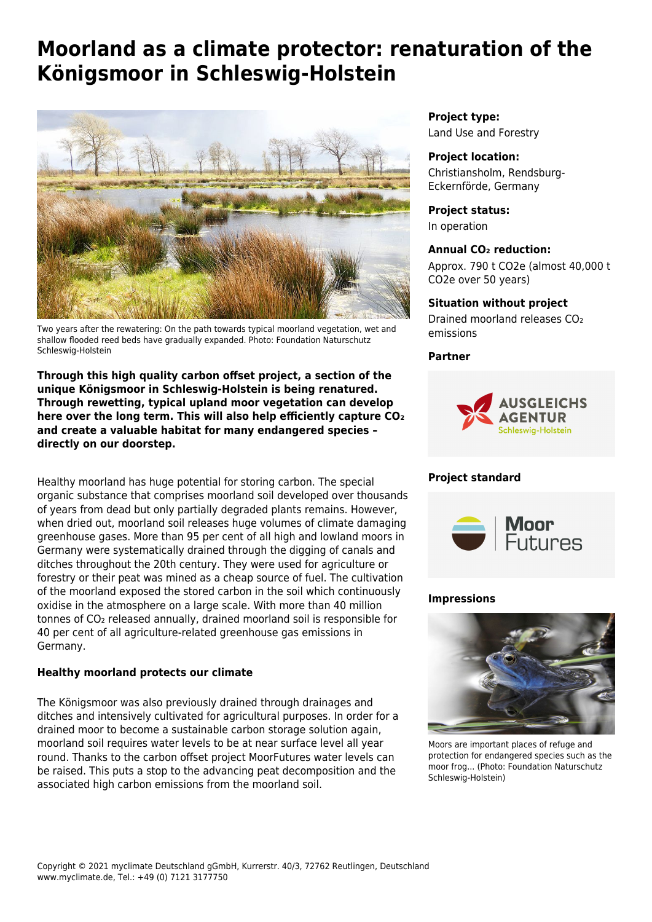# **Moorland as a climate protector: renaturation of the Königsmoor in Schleswig-Holstein**



Two years after the rewatering: On the path towards typical moorland vegetation, wet and shallow flooded reed beds have gradually expanded. Photo: Foundation Naturschutz Schleswig-Holstein

**Through this high quality carbon offset project, a section of the unique Königsmoor in Schleswig-Holstein is being renatured. Through rewetting, typical upland moor vegetation can develop here over the long term. This will also help efficiently capture CO₂ and create a valuable habitat for many endangered species – directly on our doorstep.**

Healthy moorland has huge potential for storing carbon. The special organic substance that comprises moorland soil developed over thousands of years from dead but only partially degraded plants remains. However, when dried out, moorland soil releases huge volumes of climate damaging greenhouse gases. More than 95 per cent of all high and lowland moors in Germany were systematically drained through the digging of canals and ditches throughout the 20th century. They were used for agriculture or forestry or their peat was mined as a cheap source of fuel. The cultivation of the moorland exposed the stored carbon in the soil which continuously oxidise in the atmosphere on a large scale. With more than 40 million tonnes of CO₂ released annually, drained moorland soil is responsible for 40 per cent of all agriculture-related greenhouse gas emissions in Germany.

## **Healthy moorland protects our climate**

The Königsmoor was also previously drained through drainages and ditches and intensively cultivated for agricultural purposes. In order for a drained moor to become a sustainable carbon storage solution again, moorland soil requires water levels to be at near surface level all year round. Thanks to the carbon offset project MoorFutures water levels can be raised. This puts a stop to the advancing peat decomposition and the associated high carbon emissions from the moorland soil.

**Project type:** Land Use and Forestry

## **Project location:**

Christiansholm, Rendsburg-Eckernförde, Germany

#### **Project status:**

In operation

## **Annual CO₂ reduction:**

Approx. 790 t CO2e (almost 40,000 t CO2e over 50 years)

## **Situation without project**

Drained moorland releases CO2 emissions

## **Partner**



# **Project standard**



## **Impressions**



Moors are important places of refuge and protection for endangered species such as the moor frog... (Photo: Foundation Naturschutz Schleswig-Holstein)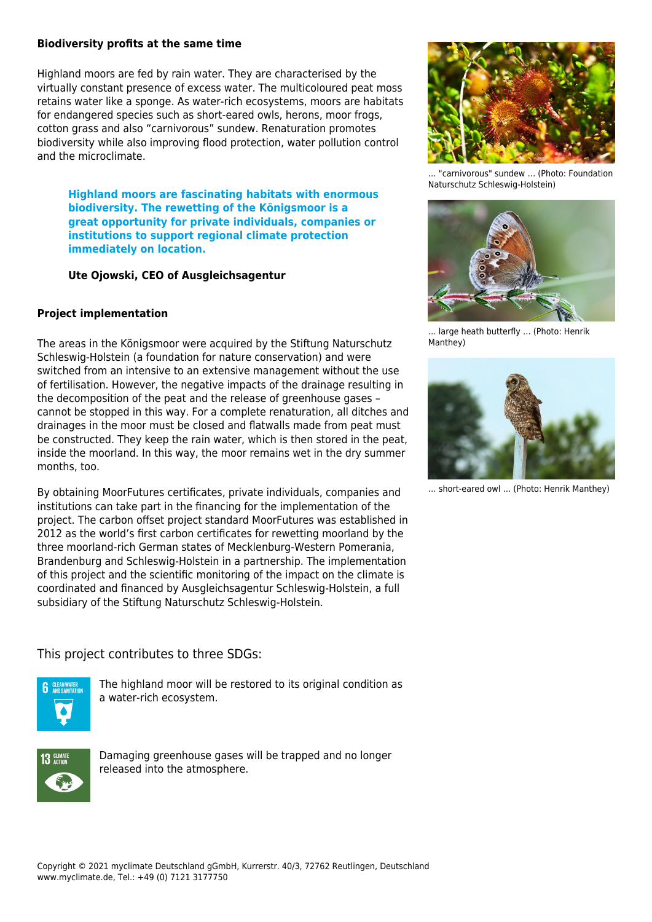#### **Biodiversity profits at the same time**

Highland moors are fed by rain water. They are characterised by the virtually constant presence of excess water. The multicoloured peat moss retains water like a sponge. As water-rich ecosystems, moors are habitats for endangered species such as short-eared owls, herons, moor frogs, cotton grass and also "carnivorous" sundew. Renaturation promotes biodiversity while also improving flood protection, water pollution control and the microclimate.

**Highland moors are fascinating habitats with enormous biodiversity. The rewetting of the Königsmoor is a great opportunity for private individuals, companies or institutions to support regional climate protection immediately on location.**

**Ute Ojowski, CEO of Ausgleichsagentur**

## **Project implementation**

The areas in the Königsmoor were acquired by the Stiftung Naturschutz Schleswig-Holstein (a foundation for nature conservation) and were switched from an intensive to an extensive management without the use of fertilisation. However, the negative impacts of the drainage resulting in the decomposition of the peat and the release of greenhouse gases – cannot be stopped in this way. For a complete renaturation, all ditches and drainages in the moor must be closed and flatwalls made from peat must be constructed. They keep the rain water, which is then stored in the peat, inside the moorland. In this way, the moor remains wet in the dry summer months, too.

By obtaining MoorFutures certificates, private individuals, companies and institutions can take part in the financing for the implementation of the project. The carbon offset project standard MoorFutures was established in 2012 as the world's first carbon certificates for rewetting moorland by the three moorland-rich German states of Mecklenburg-Western Pomerania, Brandenburg and Schleswig-Holstein in a partnership. The implementation of this project and the scientific monitoring of the impact on the climate is coordinated and financed by Ausgleichsagentur Schleswig-Holstein, a full subsidiary of the Stiftung Naturschutz Schleswig-Holstein.

This project contributes to three SDGs:



The highland moor will be restored to its original condition as a water-rich ecosystem.



Damaging greenhouse gases will be trapped and no longer released into the atmosphere.



… "carnivorous" sundew … (Photo: Foundation Naturschutz Schleswig-Holstein)



… large heath butterfly … (Photo: Henrik Manthey)



… short-eared owl … (Photo: Henrik Manthey)